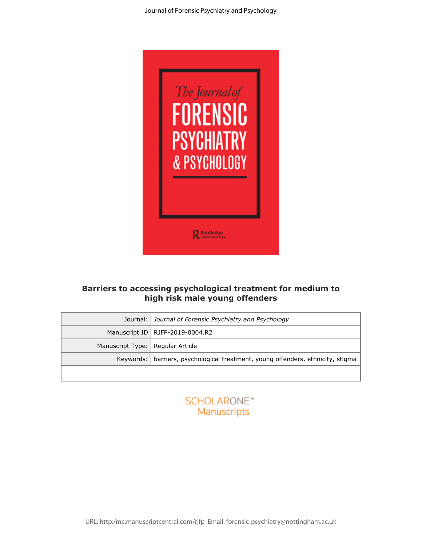

## **Barriers to accessing psychological treatment for medium to high risk male young offenders**

|                                    | Journal: Journal of Forensic Psychiatry and Psychology                            |
|------------------------------------|-----------------------------------------------------------------------------------|
|                                    | Manuscript ID   RJFP-2019-0004.R2                                                 |
| Manuscript Type:   Regular Article |                                                                                   |
|                                    | Keywords:   barriers, psychological treatment, young offenders, ethnicity, stigma |
|                                    |                                                                                   |



URL: http:/mc.manuscriptcentral.com/rjfp Email: forensic-psychiatry@nottingham.ac.uk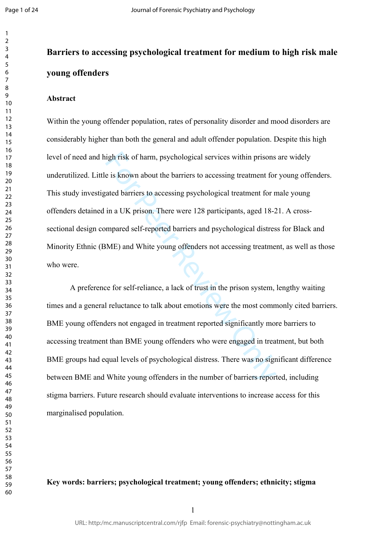$\mathbf{1}$  $\overline{2}$  $\overline{3}$  $\overline{4}$  $\overline{7}$ 

# **Barriers to accessing psychological treatment for medium to high risk male young offenders**

#### **Abstract**

igh risk of harm, psychological services within prisons<br>e is known about the barriers to accessing treatment for<br>ated barriers to accessing psychological treatment for n<br>in a UK prison. There were 128 participants, aged 18 Within the young offender population, rates of personality disorder and mood disorders are considerably higher than both the general and adult offender population. Despite this high level of need and high risk of harm, psychological services within prisons are widely underutilized. Little is known about the barriers to accessing treatment for young offenders. This study investigated barriers to accessing psychological treatment for male young offenders detained in a UK prison. There were 128 participants, aged 18-21. A crosssectional design compared self-reported barriers and psychological distress for Black and Minority Ethnic (BME) and White young offenders not accessing treatment, as well as those who were.

A preference for self-reliance, a lack of trust in the prison system, lengthy waiting times and a general reluctance to talk about emotions were the most commonly cited barriers. BME young offenders not engaged in treatment reported significantly more barriers to accessing treatment than BME young offenders who were engaged in treatment, but both BME groups had equal levels of psychological distress. There was no significant difference between BME and White young offenders in the number of barriers reported, including stigma barriers. Future research should evaluate interventions to increase access for this marginalised population.

## **Key words: barriers; psychological treatment; young offenders; ethnicity; stigma**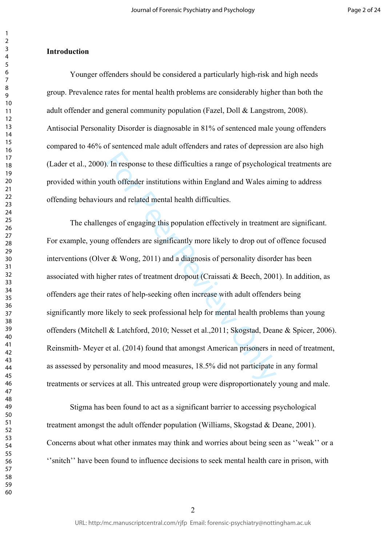#### **Introduction**

Younger offenders should be considered a particularly high-risk and high needs group. Prevalence rates for mental health problems are considerably higher than both the adult offender and general community population (Fazel, Doll & Langstrom, 2008). Antisocial Personality Disorder is diagnosable in 81% of sentenced male young offenders compared to 46% of sentenced male adult offenders and rates of depression are also high (Lader et al., 2000). In response to these difficulties a range of psychological treatments are provided within youth offender institutions within England and Wales aiming to address offending behaviours and related mental health difficulties.

Follow I. In response to these difficulties a range of psychological<br>the offender institutions within England and Wales ain<br>trs and related mental health difficulties.<br>Iges of engaging this population effectively in treat The challenges of engaging this population effectively in treatment are significant. For example, young offenders are significantly more likely to drop out of offence focused interventions (Olver & Wong, 2011) and a diagnosis of personality disorder has been associated with higher rates of treatment dropout (Craissati & Beech, 2001). In addition, as offenders age their rates of help-seeking often increase with adult offenders being significantly more likely to seek professional help for mental health problems than young offenders (Mitchell & Latchford, 2010; Nesset et al.,2011; Skogstad, Deane & Spicer, 2006). Reinsmith- Meyer et al. (2014) found that amongst American prisoners in need of treatment, as assessed by personality and mood measures, 18.5% did not participate in any formal treatments or services at all. This untreated group were disproportionately young and male.

Stigma has been found to act as a significant barrier to accessing psychological treatment amongst the adult offender population (Williams, Skogstad & Deane, 2001). Concerns about what other inmates may think and worries about being seen as ''weak'' or a ''snitch'' have been found to influence decisions to seek mental health care in prison, with

 $\mathbf{1}$  $\overline{2}$  $\overline{3}$  $\overline{4}$  $\overline{7}$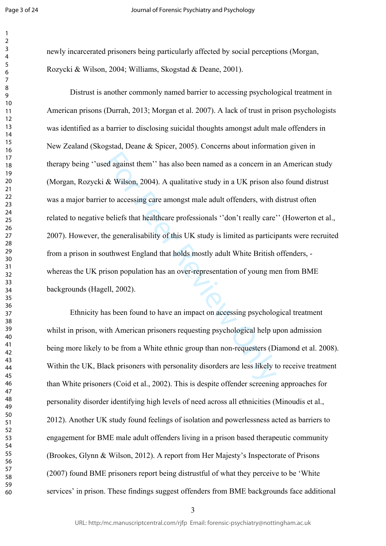$\mathbf{1}$ 

newly incarcerated prisoners being particularly affected by social perceptions (Morgan, Rozycki & Wilson, 2004; Williams, Skogstad & Deane, 2001).

review and as a concern in a<br>
de against them'' has also been named as a concern in a<br>
de Wilson, 2004). A qualitative study in a UK prison al<br>
to accessing care amongst male adult offenders, with<br>
beliefs that healthcare Distrust is another commonly named barrier to accessing psychological treatment in American prisons (Durrah, 2013; Morgan et al. 2007). A lack of trust in prison psychologists was identified as a barrier to disclosing suicidal thoughts amongst adult male offenders in New Zealand (Skogstad, Deane & Spicer, 2005). Concerns about information given in therapy being ''used against them'' has also been named as a concern in an American study (Morgan, Rozycki & Wilson, 2004). A qualitative study in a UK prison also found distrust was a major barrier to accessing care amongst male adult offenders, with distrust often related to negative beliefs that healthcare professionals ''don't really care'' (Howerton et al., 2007). However, the generalisability of this UK study is limited as participants were recruited from a prison in southwest England that holds mostly adult White British offenders, whereas the UK prison population has an over-representation of young men from BME backgrounds (Hagell, 2002).

Ethnicity has been found to have an impact on accessing psychological treatment whilst in prison, with American prisoners requesting psychological help upon admission being more likely to be from a White ethnic group than non-requesters (Diamond et al. 2008). Within the UK, Black prisoners with personality disorders are less likely to receive treatment than White prisoners (Coid et al., 2002). This is despite offender screening approaches for personality disorder identifying high levels of need across all ethnicities (Minoudis et al., 2012). Another UK study found feelings of isolation and powerlessness acted as barriers to engagement for BME male adult offenders living in a prison based therapeutic community (Brookes, Glynn & Wilson, 2012). A report from Her Majesty's Inspectorate of Prisons (2007) found BME prisoners report being distrustful of what they perceive to be 'White services' in prison. These findings suggest offenders from BME backgrounds face additional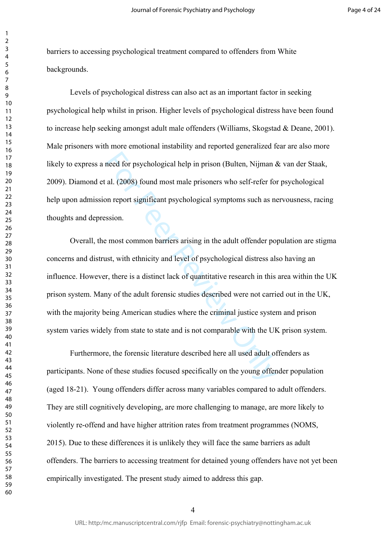barriers to accessing psychological treatment compared to offenders from White backgrounds.

Levels of psychological distress can also act as an important factor in seeking psychological help whilst in prison. Higher levels of psychological distress have been found to increase help seeking amongst adult male offenders (Williams, Skogstad & Deane, 2001). Male prisoners with more emotional instability and reported generalized fear are also more likely to express a need for psychological help in prison (Bulten, Nijman & van der Staak, 2009). Diamond et al. (2008) found most male prisoners who self-refer for psychological help upon admission report significant psychological symptoms such as nervousness, racing thoughts and depression.

meed for psychological help in prison (Bulten, Nijman and al. (2008) found most male prisoners who self-refer for the all (2008) found most male prisoners who self-refer for the and the prison.<br>
For Peport significant psyc Overall, the most common barriers arising in the adult offender population are stigma concerns and distrust, with ethnicity and level of psychological distress also having an influence. However, there is a distinct lack of quantitative research in this area within the UK prison system. Many of the adult forensic studies described were not carried out in the UK, with the majority being American studies where the criminal justice system and prison system varies widely from state to state and is not comparable with the UK prison system.

Furthermore, the forensic literature described here all used adult offenders as participants. None of these studies focused specifically on the young offender population (aged 18-21). Young offenders differ across many variables compared to adult offenders. They are still cognitively developing, are more challenging to manage, are more likely to violently re-offend and have higher attrition rates from treatment programmes (NOMS, 2015). Due to these differences it is unlikely they will face the same barriers as adult offenders. The barriers to accessing treatment for detained young offenders have not yet been empirically investigated. The present study aimed to address this gap.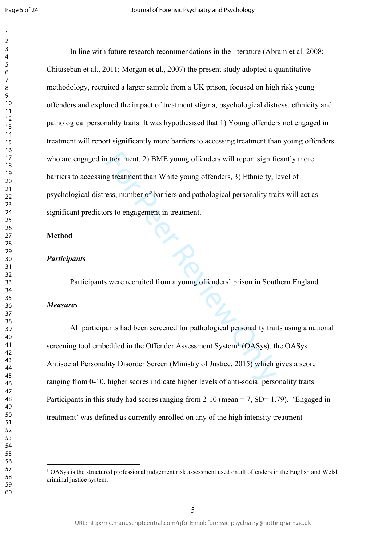$\mathbf{1}$  $\overline{2}$  $\overline{3}$ 

I treatment, 2) BME young offenders will report signifity<br>g treatment than White young offenders, 3) Ethnicity, l<br>ess, number of barriers and pathological personality tra<br>ors to engagement in treatment.<br>Solven the treatmen In line with future research recommendations in the literature (Abram et al. 2008; Chitaseban et al., 2011; Morgan et al., 2007) the present study adopted a quantitative methodology, recruited a larger sample from a UK prison, focused on high risk young offenders and explored the impact of treatment stigma, psychological distress, ethnicity and pathological personality traits. It was hypothesised that 1) Young offenders not engaged in treatment will report significantly more barriers to accessing treatment than young offenders who are engaged in treatment, 2) BME young offenders will report significantly more barriers to accessing treatment than White young offenders, 3) Ethnicity, level of psychological distress, number of barriers and pathological personality traits will act as significant predictors to engagement in treatment.

#### **Method**

#### *Participants*

Participants were recruited from a young offenders' prison in Southern England.

#### *Measures*

All participants had been screened for pathological personality traits using a national screening tool embedded in the Offender Assessment System<sup>1</sup> (OASys), the OASys Antisocial Personality Disorder Screen (Ministry of Justice, 2015) which gives a score ranging from 0-10, higher scores indicate higher levels of anti-social personality traits. Participants in this study had scores ranging from  $2-10$  (mean = 7, SD= 1.79). 'Engaged in treatment' was defined as currently enrolled on any of the high intensity treatment

<sup>&</sup>lt;sup>1</sup> OASys is the structured professional judgement risk assessment used on all offenders in the English and Welsh criminal justice system.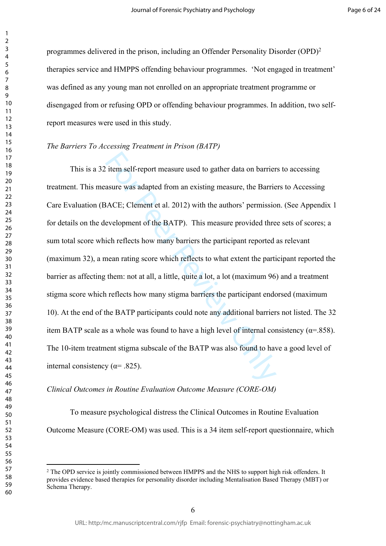programmes delivered in the prison, including an Offender Personality Disorder (OPD) 2 therapies service and HMPPS offending behaviour programmes. 'Not engaged in treatment' was defined as any young man not enrolled on an appropriate treatment programme or disengaged from or refusing OPD or offending behaviour programmes. In addition, two selfreport measures were used in this study.

#### *The Barriers To Accessing Treatment in Prison (BATP)*

For the self-report measure used to gather data on barrier<br>asure was adapted from an existing measure, the Barrie<br>BACE; Clement et al. 2012) with the authors' permissio<br>evelopment of the BATP). This measure provided thre<br> This is a 32 item self-report measure used to gather data on barriers to accessing treatment. This measure was adapted from an existing measure, the Barriers to Accessing Care Evaluation (BACE; Clement et al. 2012) with the authors' permission. (See Appendix 1 for details on the development of the BATP). This measure provided three sets of scores; a sum total score which reflects how many barriers the participant reported as relevant (maximum 32), a mean rating score which reflects to what extent the participant reported the barrier as affecting them: not at all, a little, quite a lot, a lot (maximum 96) and a treatment stigma score which reflects how many stigma barriers the participant endorsed (maximum 10). At the end of the BATP participants could note any additional barriers not listed. The 32 item BATP scale as a whole was found to have a high level of internal consistency ( $\alpha$ =.858). The 10-item treatment stigma subscale of the BATP was also found to have a good level of internal consistency ( $\alpha$ = .825).

#### *Clinical Outcomes in Routine Evaluation Outcome Measure (CORE-OM)*

To measure psychological distress the Clinical Outcomes in Routine Evaluation Outcome Measure (CORE-OM) was used. This is a 34 item self-report questionnaire, which

<sup>&</sup>lt;sup>2</sup> The OPD service is jointly commissioned between HMPPS and the NHS to support high risk offenders. It provides evidence based therapies for personality disorder including Mentalisation Based Therapy (MBT) or Schema Therapy.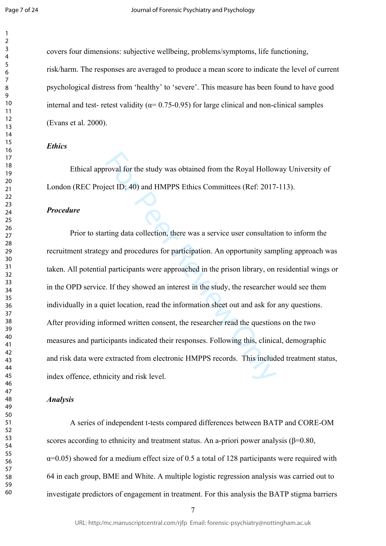$\mathbf{1}$  $\overline{2}$ 

 

covers four dimensions: subjective wellbeing, problems/symptoms, life functioning, risk/harm. The responses are averaged to produce a mean score to indicate the level of current psychological distress from 'healthy' to 'severe'. This measure has been found to have good internal and test- retest validity ( $\alpha$ = 0.75-0.95) for large clinical and non-clinical samples (Evans et al. 2000).

## *Ethics*

Ethical approval for the study was obtained from the Royal Holloway University of London (REC Project ID: 40) and HMPPS Ethics Committees (Ref: 2017-113).

## *Procedure*

roval for the study was obtained from the Royal Hollov<br>ect ID: 40) and HMPPS Ethics Committees (Ref: 2017<br>ting data collection, there was a service user consultati<br>y and procedures for participation. An opportunity sam<br>par Prior to starting data collection, there was a service user consultation to inform the recruitment strategy and procedures for participation. An opportunity sampling approach was taken. All potential participants were approached in the prison library, on residential wings or in the OPD service. If they showed an interest in the study, the researcher would see them individually in a quiet location, read the information sheet out and ask for any questions. After providing informed written consent, the researcher read the questions on the two measures and participants indicated their responses. Following this, clinical, demographic and risk data were extracted from electronic HMPPS records. This included treatment status, index offence, ethnicity and risk level.

#### *Analysis*

A series of independent t-tests compared differences between BATP and CORE-OM scores according to ethnicity and treatment status. An a-priori power analysis ( $\beta$ =0.80,  $\alpha$ =0.05) showed for a medium effect size of 0.5 a total of 128 participants were required with 64 in each group, BME and White. A multiple logistic regression analysis was carried out to investigate predictors of engagement in treatment. For this analysis the BATP stigma barriers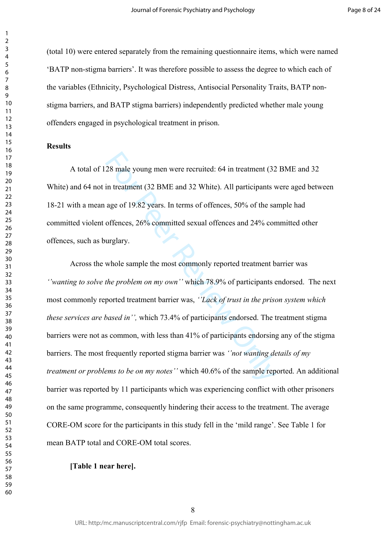(total 10) were entered separately from the remaining questionnaire items, which were named 'BATP non-stigma barriers'. It was therefore possible to assess the degree to which each of the variables (Ethnicity, Psychological Distress, Antisocial Personality Traits, BATP nonstigma barriers, and BATP stigma barriers) independently predicted whether male young offenders engaged in psychological treatment in prison.

#### **Results**

A total of 128 male young men were recruited: 64 in treatment (32 BME and 32 White) and 64 not in treatment (32 BME and 32 White). All participants were aged between 18-21 with a mean age of 19.82 years. In terms of offences, 50% of the sample had committed violent offences, 26% committed sexual offences and 24% committed other offences, such as burglary.

28 male young men were recruited: 64 in treatment (32<br>in treatment (32 BME and 32 White). All participants v<br>age of 19.82 years. In terms of offences, 50% of the sa<br>offences, 26% committed sexual offences and 24% cor<br>urgl Across the whole sample the most commonly reported treatment barrier was *''wanting to solve the problem on my own''* which 78.9% of participants endorsed. The next most commonly reported treatment barrier was, *''Lack of trust in the prison system which these services are based in'',* which 73.4% of participants endorsed. The treatment stigma barriers were not as common, with less than 41% of participants endorsing any of the stigma barriers. The most frequently reported stigma barrier was *''not wanting details of my treatment or problems to be on my notes''* which 40.6% of the sample reported. An additional barrier was reported by 11 participants which was experiencing conflict with other prisoners on the same programme, consequently hindering their access to the treatment. The average CORE-OM score for the participants in this study fell in the 'mild range'. See Table 1 for mean BATP total and CORE-OM total scores.

#### **[Table 1 near here].**

 $\mathbf{1}$  $\overline{2}$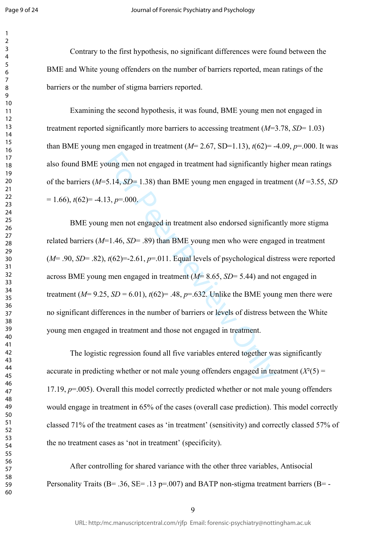$\mathbf{1}$  $\overline{2}$  $\overline{3}$  $\overline{4}$  $\overline{7}$ 

Contrary to the first hypothesis, no significant differences were found between the BME and White young offenders on the number of barriers reported, mean ratings of the barriers or the number of stigma barriers reported.

Examining the second hypothesis, it was found, BME young men not engaged in treatment reported significantly more barriers to accessing treatment (*M*=3.78, *SD*= 1.03) than BME young men engaged in treatment  $(M= 2.67, SD=1.13)$ ,  $t(62)= -4.09, p=0.00$ . It was also found BME young men not engaged in treatment had significantly higher mean ratings of the barriers (*M*=5.14, *SD*= 1.38) than BME young men engaged in treatment (*M* =3.55, *SD*  $= 1.66$ ,  $t(62)= -4.13$ ,  $p=0.00$ .

bung men not engaged in treatment had significantly his <br>5.14, *SD*= 1.38) than BME young men engaged in treat<br>3,  $p=0.00$ .<br>g men not engaged in treatment also endorsed significar<br> $t(62)=-2.61$ ,  $p=0.011$ . Equal levels of BME young men not engaged in treatment also endorsed significantly more stigma related barriers (*M*=1.46, *SD*= .89) than BME young men who were engaged in treatment (*M*= .90, *SD*= .82), *t*(62)=-2.61, *p*=.011. Equal levels of psychological distress were reported across BME young men engaged in treatment (*M*= 8.65, *SD*= 5.44) and not engaged in treatment ( $M= 9.25$ ,  $SD = 6.01$ ),  $t(62)= .48$ ,  $p=.632$ . Unlike the BME young men there were no significant differences in the number of barriers or levels of distress between the White young men engaged in treatment and those not engaged in treatment.

The logistic regression found all five variables entered together was significantly accurate in predicting whether or not male young offenders engaged in treatment  $(X<sup>2</sup>(5))$  = 17.19,  $p=0.005$ ). Overall this model correctly predicted whether or not male young offenders would engage in treatment in 65% of the cases (overall case prediction). This model correctly classed 71% of the treatment cases as 'in treatment' (sensitivity) and correctly classed 57% of the no treatment cases as 'not in treatment' (specificity).

After controlling for shared variance with the other three variables, Antisocial Personality Traits ( $B = .36$ ,  $SE = .13$  p=.007) and BATP non-stigma treatment barriers ( $B = -12$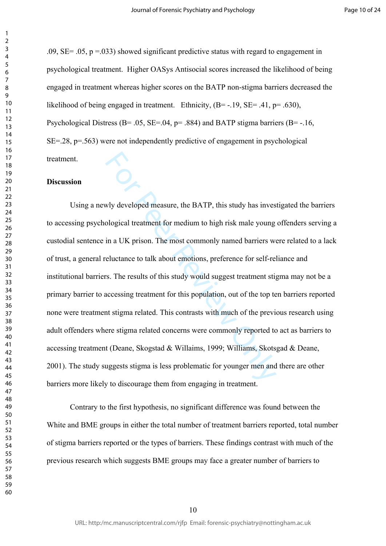.09,  $SE = .05$ ,  $p = .033$ ) showed significant predictive status with regard to engagement in psychological treatment. Higher OASys Antisocial scores increased the likelihood of being engaged in treatment whereas higher scores on the BATP non-stigma barriers decreased the likelihood of being engaged in treatment. Ethnicity, (B= -.19, SE= .41, p= .630), Psychological Distress (B= .05, SE=.04,  $p=$  .884) and BATP stigma barriers (B= -.16, SE=.28, p=.563) were not independently predictive of engagement in psychological treatment.

#### **Discussion**

Why developed measure, the BATP, this study has inves<br>ological treatment for medium to high risk male young<br>in a UK prison. The most commonly named barriers we<br>eluctance to talk about emotions, preference for self-re<br>s. Th Using a newly developed measure, the BATP, this study has investigated the barriers to accessing psychological treatment for medium to high risk male young offenders serving a custodial sentence in a UK prison. The most commonly named barriers were related to a lack of trust, a general reluctance to talk about emotions, preference for self-reliance and institutional barriers. The results of this study would suggest treatment stigma may not be a primary barrier to accessing treatment for this population, out of the top ten barriers reported none were treatment stigma related. This contrasts with much of the previous research using adult offenders where stigma related concerns were commonly reported to act as barriers to accessing treatment (Deane, Skogstad & Willaims, 1999; Williams, Skotsgad & Deane, 2001). The study suggests stigma is less problematic for younger men and there are other barriers more likely to discourage them from engaging in treatment.

Contrary to the first hypothesis, no significant difference was found between the White and BME groups in either the total number of treatment barriers reported, total number of stigma barriers reported or the types of barriers. These findings contrast with much of the previous research which suggests BME groups may face a greater number of barriers to

 $\mathbf{1}$  $\overline{2}$  $\overline{3}$  $\overline{4}$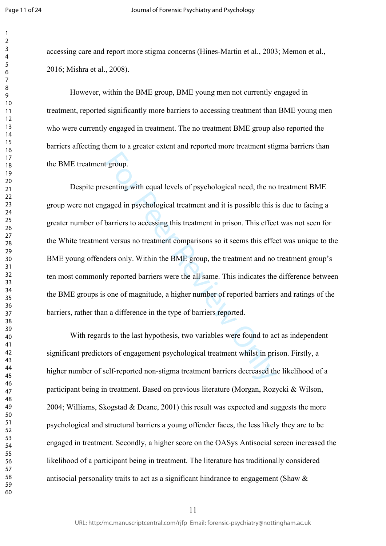$\mathbf{1}$  $\overline{2}$  $\overline{3}$  $\overline{4}$  $\overline{7}$ 

accessing care and report more stigma concerns (Hines-Martin et al., 2003; Memon et al., 2016; Mishra et al., 2008).

However, within the BME group, BME young men not currently engaged in treatment, reported significantly more barriers to accessing treatment than BME young men who were currently engaged in treatment. The no treatment BME group also reported the barriers affecting them to a greater extent and reported more treatment stigma barriers than the BME treatment group.

group.<br>
senting with equal levels of psychological need, the no<br>
saged in psychological treatment and it is possible this is<br>
barriers to accessing this treatment in prison. This effect<br>
t versus no treatment comparisons s Despite presenting with equal levels of psychological need, the no treatment BME group were not engaged in psychological treatment and it is possible this is due to facing a greater number of barriers to accessing this treatment in prison. This effect was not seen for the White treatment versus no treatment comparisons so it seems this effect was unique to the BME young offenders only. Within the BME group, the treatment and no treatment group's ten most commonly reported barriers were the all same. This indicates the difference between the BME groups is one of magnitude, a higher number of reported barriers and ratings of the barriers, rather than a difference in the type of barriers reported.

With regards to the last hypothesis, two variables were found to act as independent significant predictors of engagement psychological treatment whilst in prison. Firstly, a higher number of self-reported non-stigma treatment barriers decreased the likelihood of a participant being in treatment. Based on previous literature (Morgan, Rozycki & Wilson, 2004; Williams, Skogstad & Deane, 2001) this result was expected and suggests the more psychological and structural barriers a young offender faces, the less likely they are to be engaged in treatment. Secondly, a higher score on the OASys Antisocial screen increased the likelihood of a participant being in treatment. The literature has traditionally considered antisocial personality traits to act as a significant hindrance to engagement (Shaw &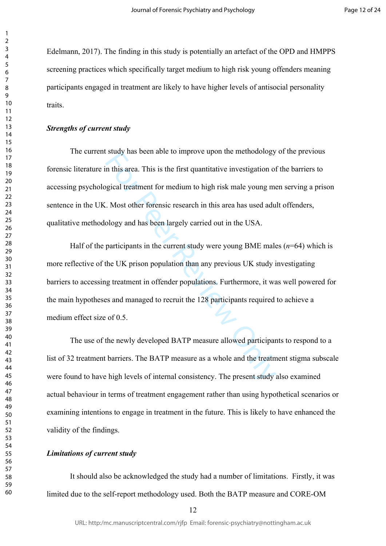Edelmann, 2017). The finding in this study is potentially an artefact of the OPD and HMPPS screening practices which specifically target medium to high risk young offenders meaning participants engaged in treatment are likely to have higher levels of antisocial personality traits.

#### *Strengths of current study*

The current study has been able to improve upon the methodology of the previous forensic literature in this area. This is the first quantitative investigation of the barriers to accessing psychological treatment for medium to high risk male young men serving a prison sentence in the UK. Most other forensic research in this area has used adult offenders, qualitative methodology and has been largely carried out in the USA.

study has been able to implove upon the intenduology<br>in this area. This is the first quantitative investigation of<br>gical treatment for medium to high risk male young me<br>. Most other forensic research in this area has used Half of the participants in the current study were young BME males  $(n=64)$  which is more reflective of the UK prison population than any previous UK study investigating barriers to accessing treatment in offender populations. Furthermore, it was well powered for the main hypotheses and managed to recruit the 128 participants required to achieve a medium effect size of 0.5

The use of the newly developed BATP measure allowed participants to respond to a list of 32 treatment barriers. The BATP measure as a whole and the treatment stigma subscale were found to have high levels of internal consistency. The present study also examined actual behaviour in terms of treatment engagement rather than using hypothetical scenarios or examining intentions to engage in treatment in the future. This is likely to have enhanced the validity of the findings.

#### *Limitations of current study*

It should also be acknowledged the study had a number of limitations. Firstly, it was limited due to the self-report methodology used. Both the BATP measure and CORE-OM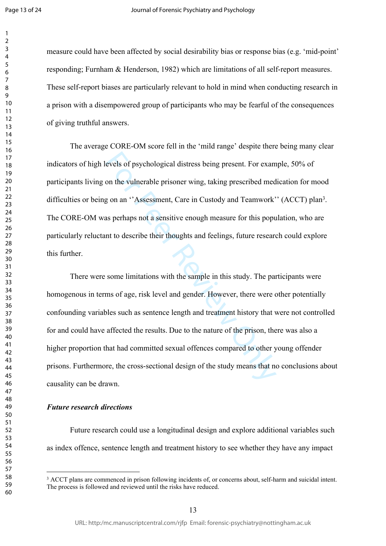$\mathbf{1}$  $\overline{2}$ 

measure could have been affected by social desirability bias or response bias (e.g. 'mid-point' responding; Furnham & Henderson, 1982) which are limitations of all self-report measures. These self-report biases are particularly relevant to hold in mind when conducting research in a prison with a disempowered group of participants who may be fearful of the consequences of giving truthful answers.

The average CORE-OM score fell in the 'mild range' despite there being many clear indicators of high levels of psychological distress being present. For example, 50% of participants living on the vulnerable prisoner wing, taking prescribed medication for mood difficulties or being on an "Assessment, Care in Custody and Teamwork" (ACCT) plan<sup>3</sup>. The CORE-OM was perhaps not a sensitive enough measure for this population, who are particularly reluctant to describe their thoughts and feelings, future research could explore this further.

evels of psychological distress being present. For exam<br>on the vulnerable prisoner wing, taking prescribed med<br>g on an "Assessment, Care in Custody and Teamwork'<br>as perhaps not a sensitive enough measure for this popu<br>nt t There were some limitations with the sample in this study. The participants were homogenous in terms of age, risk level and gender. However, there were other potentially confounding variables such as sentence length and treatment history that were not controlled for and could have affected the results. Due to the nature of the prison, there was also a higher proportion that had committed sexual offences compared to other young offender prisons. Furthermore, the cross-sectional design of the study means that no conclusions about causality can be drawn.

#### *Future research directions*

Future research could use a longitudinal design and explore additional variables such as index offence, sentence length and treatment history to see whether they have any impact

 ACCT plans are commenced in prison following incidents of, or concerns about, self-harm and suicidal intent. The process is followed and reviewed until the risks have reduced.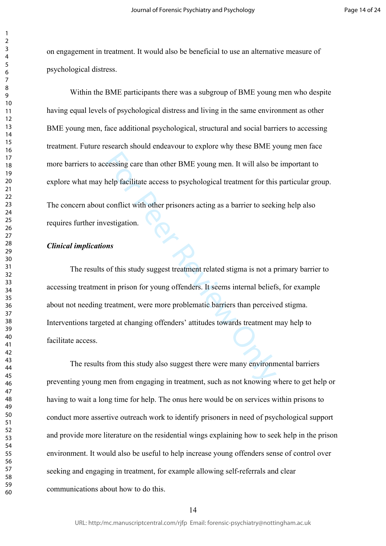on engagement in treatment. It would also be beneficial to use an alternative measure of psychological distress.

Within the BME participants there was a subgroup of BME young men who despite having equal levels of psychological distress and living in the same environment as other BME young men, face additional psychological, structural and social barriers to accessing treatment. Future research should endeavour to explore why these BME young men face more barriers to accessing care than other BME young men. It will also be important to explore what may help facilitate access to psychological treatment for this particular group. The concern about conflict with other prisoners acting as a barrier to seeking help also requires further investigation.

#### *Clinical implications*

cessing care than other BME young men. It will also be<br>help facilitate access to psychological treatment for this<br>conflict with other prisoners acting as a barrier to seeki<br>vestigation.<br>**ns**<br>of this study suggest treatment The results of this study suggest treatment related stigma is not a primary barrier to accessing treatment in prison for young offenders. It seems internal beliefs, for example about not needing treatment, were more problematic barriers than perceived stigma. Interventions targeted at changing offenders' attitudes towards treatment may help to facilitate access.

The results from this study also suggest there were many environmental barriers preventing young men from engaging in treatment, such as not knowing where to get help or having to wait a long time for help. The onus here would be on services within prisons to conduct more assertive outreach work to identify prisoners in need of psychological support and provide more literature on the residential wings explaining how to seek help in the prison environment. It would also be useful to help increase young offenders sense of control over seeking and engaging in treatment, for example allowing self-referrals and clear communications about how to do this.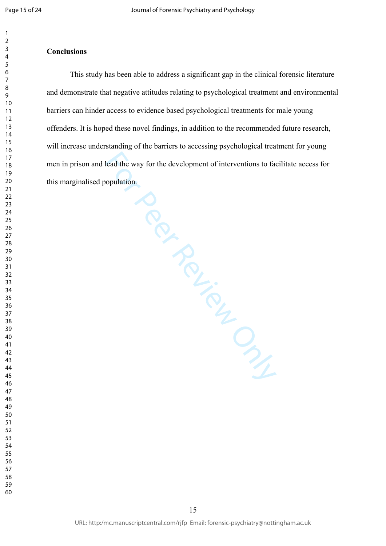$\mathbf{1}$ 

#### $\overline{2}$  $\overline{3}$  $\overline{4}$

## **Conclusions**

Francisco decession de de de velopment ou de de velopment ou de la de velopment ou de la de velopment ou de la de velopment ou de la de velopment ou de la de velopment ou de la de velopment ou de la de velopment ou de la d This study has been able to address a significant gap in the clinical forensic literature and demonstrate that negative attitudes relating to psychological treatment and environmental barriers can hinder access to evidence based psychological treatments for male young offenders. It is hoped these novel findings, in addition to the recommended future research, will increase understanding of the barriers to accessing psychological treatment for young men in prison and lead the way for the development of interventions to facilitate access for this marginalised population.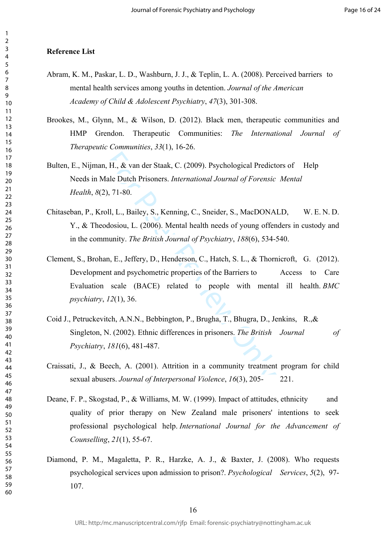#### **Reference List**

- Abram, K. M., Paskar, L. D., Washburn, J. J., & Teplin, L. A. (2008). Perceived barriers to mental health services among youths in detention. *Journal of the American Academy of Child & Adolescent Psychiatry*, *47*(3), 301-308.
- Brookes, M., Glynn, M., & Wilson, D. (2012). Black men, therapeutic communities and HMP Grendon. Therapeutic Communities: *The International Journal of Therapeutic Communities* , *33*(1), 16-26.
- Bulten, E., Nijman, H., & van der Staak, C. (2009). Psychological Predictors of Help Needs in Male Dutch Prisoners. *International Journal of Forensic Mental Health*, *8*(2), 71-80.
- Chitaseban, P., Kroll, L., Bailey, S., Kenning, C., Sneider, S., MacDONALD, W. E. N. D. Y., & Theodosiou, L. (2006). Mental health needs of young offenders in custody and in the community. *The British Journal of Psychiatry*, *188*(6), 534-540.
- , H., & van der Staak, C. (2009). Psychological Predict<br>
(ale Dutch Prisoners. *International Journal of Forensic*), 71-80.<br>
9), 71-80.<br>
9), E., Bailey, S., Kenning, C., Sneider, S., MacDONA<br>
dosiou, L. (2006). Mental heal Clement, S., Brohan, E., Jeffery, D., Henderson, C., Hatch, S. L., & Thornicroft, G. (2012). Development and psychometric properties of the Barriers to Access to Care Evaluation scale (BACE) related to people with mental ill health. *BMC psychiatry*, *12*(1), 36.
- Coid J., Petruckevitch, A.N.N., Bebbington, P., Brugha, T., Bhugra, D., Jenkins, R.,& Singleton, N. (2002). Ethnic differences in prisoners. *The British Journal of Psychiatry*, *181*(6), 481-487.
- Craissati, J., & Beech, A. (2001). Attrition in a community treatment program for child sexual abusers. *Journal of Interpersonal Violence*, *16*(3), 205- 221.
- Deane, F. P., Skogstad, P., & Williams, M. W. (1999). Impact of attitudes, ethnicity and quality of prior therapy on New Zealand male prisoners' intentions to seek professional psychological help. *International Journal for the Advancement of Counselling*, *21*(1), 55-67.
- Diamond, P. M., Magaletta, P. R., Harzke, A. J., & Baxter, J. (2008). Who requests psychological services upon admission to prison?. *Psychological Services*, *5*(2), 97- 107.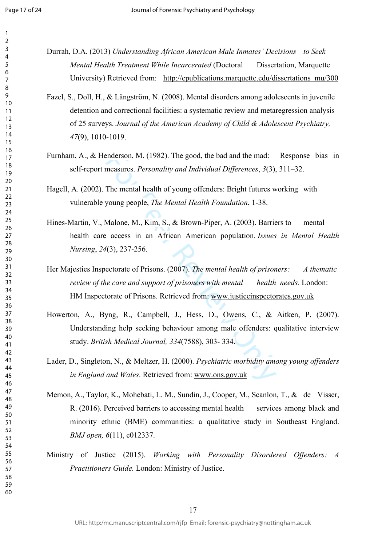$\mathbf{1}$  $\overline{2}$  $\overline{3}$  $\overline{4}$  $\overline{7}$ 

- Durrah, D.A. (2013) *Understanding African American Male Inmates' Decisions to Seek Mental Health Treatment While Incarcerated* (Doctoral Dissertation, Marquette University) Retrieved from: [http://epublications.marquette.edu/dissertations\\_mu/300](http://epublications.marquette.edu/dissertations_mu/300)
- Fazel, S., Doll, H., & Långström, N. (2008). Mental disorders among adolescents in juvenile detention and correctional facilities: a systematic review and metaregression analysis of 25 surveys. *Journal of the American Academy of Child & Adolescent Psychiatry,*  (9), 1010-1019.
- Furnham, A., & Henderson, M. (1982). The good, the bad and the mad: Response bias in self-report measures. *Personality and Individual Differences*, *3*(3), 311–32.

Hagell, A. (2002). The mental health of young offenders: Bright futures working with vulnerable young people, *The Mental Health Foundation*, 1-38.

- enderson, M. (1982). The good, the bad and the mad:<br>measures. *Personality and Individual Differences*, 3(3),<br>The mental health of young offenders: Bright futures w<br>young people, *The Mental Health Foundation*, 1-38.<br>Malon Hines-Martin, V., Malone, M., Kim, S., & Brown-Piper, A. (2003). Barriers to mental health care access in an African American population. *Issues in Mental Health Nursing*, *24*(3), 237-256.
- Her Majesties Inspectorate of Prisons. (2007). *The mental health of prisoners: A thematic review of the care and support of prisoners with mental health needs.* London: HM Inspectorate of Prisons. Retrieved from: www.justiceinspectorates.gov.uk
- Howerton, A., Byng, R., Campbell, J., Hess, D., Owens, C., & Aitken, P. (2007). Understanding help seeking behaviour among male offenders: qualitative interview study. *British Medical Journal, 334*(7588), 303- 334.
- Lader, D., Singleton, N., & Meltzer, H. (2000). *Psychiatric morbidity among young offenders in England and Wales*. Retrieved from: www.ons.gov.uk
- Memon, A., Taylor, K., Mohebati, L. M., Sundin, J., Cooper, M., Scanlon, T., & de Visser, R. (2016). Perceived barriers to accessing mental health services among black and minority ethnic (BME) communities: a qualitative study in Southeast England. *BMJ open, 6*(11), e012337.
- Ministry of Justice (2015). *Working with Personality Disordered Offenders: A Practitioners Guide.* London: Ministry of Justice.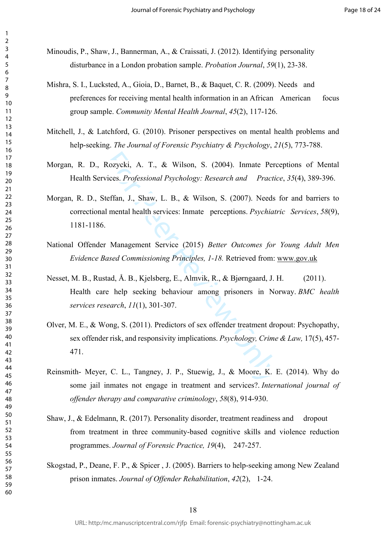Minoudis, P., Shaw, J., Bannerman, A., & Craissati, J. (2012). Identifying personality disturbance in a London probation sample. *Probation Journal*, *59*(1), 23-38.

- Mishra, S. I., Lucksted, A., Gioia, D., Barnet, B., & Baquet, C. R. (2009). Needs and preferences for receiving mental health information in an African American focus group sample. *Community Mental Health Journal*, *45*(2), 117-126.
- Mitchell, J., & Latchford, G. (2010). Prisoner perspectives on mental health problems and help-seeking. *The Journal of Forensic Psychiatry & Psychology*, *21*(5), 773-788.
- Morgan, R. D., Rozycki, A. T., & Wilson, S. (2004). Inmate Perceptions of Mental Health Services. *Professional Psychology: Research and Practice*, *35*(4), 389-396.
- Rozycki, A. T., & Wilson, S. (2004). Inmate Pervices. *Professional Psychology: Research and Practi*<br>teffan, J., Shaw, L. B., & Wilson, S. (2007). Needs<br>I mental health services: Inmate perceptions. *Psychiat*<br>Management S Morgan, R. D., Steffan, J., Shaw, L. B., & Wilson, S. (2007). Needs for and barriers to correctional mental health services: Inmate perceptions. *Psychiatric Services*, *58*(9), 1181-1186.
- National Offender Management Service (2015) *Better Outcomes for Young Adult Men Evidence Based Commissioning Principles, 1-18.* Retrieved from: [www.gov.uk](http://www.gov.uk)
- Nesset, M. B., Rustad, Å. B., Kjelsberg, E., Almvik, R., & Bjørngaard, J. H. (2011). Health care help seeking behaviour among prisoners in Norway. *BMC health services research*, *11*(1), 301-307.
- Olver, M. E., & Wong, S. (2011). Predictors of sex offender treatment dropout: Psychopathy, sex offender risk, and responsivity implications. *Psychology, Crime & Law,* 17(5), 457- 471.
- Reinsmith- Meyer, C. L., Tangney, J. P., Stuewig, J., & Moore, K. E. (2014). Why do some jail inmates not engage in treatment and services?. *International journal of offender therapy and comparative criminology*, *58*(8), 914-930.
- Shaw, J., & Edelmann, R. (2017). Personality disorder, treatment readiness and dropout from treatment in three community-based cognitive skills and violence reduction programmes. *Journal of Forensic Practice, 19*(4), 247-257.
- Skogstad, P., Deane, F. P., & Spicer , J. (2005). Barriers to help-seeking among New Zealand prison inmates. *Journal of Offender Rehabilitation*, *42*(2), 1-24.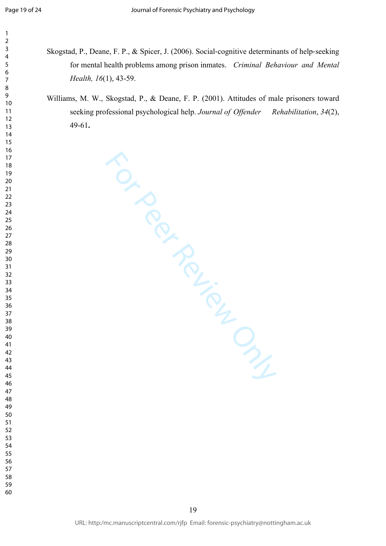$\mathbf{1}$  $\overline{2}$  $\overline{3}$  $\overline{4}$ 

- Skogstad, P., Deane, F. P., & Spicer, J. (2006). Social ‐cognitive determinants of help ‐seeking for mental health problems among prison inmates. *Criminal Behaviour and Mental Health, 16*(1), 43-59.
	- Williams, M. W., Skogstad, P., & Deane, F. P. (2001). Attitudes of male prisoners toward seeking professional psychological help. *Journal of Offender Rehabilitation*, *34*(2), 49-61 **.**

TO PROVICE ONLY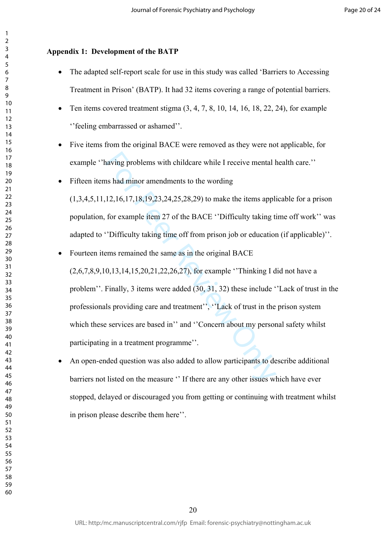## **Appendix 1: Development of the BATP**

- The adapted self-report scale for use in this study was called 'Barriers to Accessing Treatment in Prison' (BATP). It had 32 items covering a range of potential barriers.
- Ten items covered treatment stigma  $(3, 4, 7, 8, 10, 14, 16, 18, 22, 24)$ , for example ''feeling embarrassed or ashamed''.
- Five items from the original BACE were removed as they were not applicable, for example ''having problems with childcare while I receive mental health care.''
- Fifteen items had minor amendments to the wording

(1,3,4,5,11,12,16,17,18,19,23,24,25,28,29) to make the items applicable for a prison population, for example item 27 of the BACE ''Difficulty taking time off work'' was adapted to ''Difficulty taking time off from prison job or education (if applicable)''.

- having problems with childcare while I receive mental I<br>
as had minor amendments to the wording<br>
12,16,17,18,19,23,24,25,28,29) to make the items appli<br>
for example item 27 of the BACE "Difficulty taking ti<br>
"Difficulty t • Fourteen items remained the same as in the original BACE (2,6,7,8,9,10,13,14,15,20,21,22,26,27), for example ''Thinking I did not have a problem''. Finally, 3 items were added (30, 31, 32) these include ''Lack of trust in the professionals providing care and treatment'', ''Lack of trust in the prison system which these services are based in" and "Concern about my personal safety whilst participating in a treatment programme''.
- An open-ended question was also added to allow participants to describe additional barriers not listed on the measure '' If there are any other issues which have ever stopped, delayed or discouraged you from getting or continuing with treatment whilst in prison please describe them here''.

 $\mathbf{1}$  $\overline{2}$  $\overline{3}$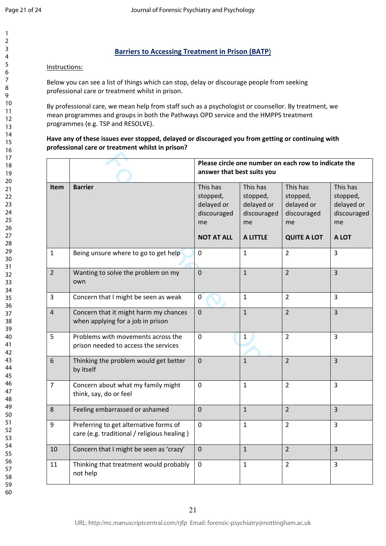$\mathbf{1}$  $\overline{2}$ 

## **Barriers to Accessing Treatment in Prison (BATP** )

## Instructions:

Below you can see a list of things which can stop, delay or discourage people from seeking professional care or treatment whilst in prison.

By professional care, we mean help from staff such as a psychologist or counsellor. By treatment, we mean programmes and groups in both the Pathways OPD service and the HMPPS treatment programmes (e.g. TSP and RESOLVE).

## **Have any of these issues ever stopped, delayed or discouraged you from getting or continuing with professional care or treatment whilst in prison?**

|                |                                                                                       |                                                                              |                                                                            | Please circle one number on each row to indicate the                          |                                                                  |  |  |  |  |  |
|----------------|---------------------------------------------------------------------------------------|------------------------------------------------------------------------------|----------------------------------------------------------------------------|-------------------------------------------------------------------------------|------------------------------------------------------------------|--|--|--|--|--|
|                | answer that best suits you                                                            |                                                                              |                                                                            |                                                                               |                                                                  |  |  |  |  |  |
| <b>Item</b>    | <b>Barrier</b>                                                                        | This has<br>stopped,<br>delayed or<br>discouraged<br>me<br><b>NOT AT ALL</b> | This has<br>stopped,<br>delayed or<br>discouraged<br>me<br><b>A LITTLE</b> | This has<br>stopped,<br>delayed or<br>discouraged<br>me<br><b>QUITE A LOT</b> | This has<br>stopped,<br>delayed or<br>discouraged<br>me<br>A LOT |  |  |  |  |  |
| $\mathbf{1}$   | Being unsure where to go to get help                                                  | $\Omega$                                                                     | $\mathbf{1}$                                                               | $\overline{2}$                                                                | $\overline{3}$                                                   |  |  |  |  |  |
| $\overline{2}$ | Wanting to solve the problem on my<br>own                                             | $\Omega$                                                                     | $\overline{1}$                                                             | $\overline{2}$                                                                | $\overline{3}$                                                   |  |  |  |  |  |
| $\overline{3}$ | Concern that I might be seen as weak                                                  | $\mathbf 0$                                                                  | $\mathbf{1}$                                                               | $\overline{2}$                                                                | 3                                                                |  |  |  |  |  |
| $\overline{4}$ | Concern that it might harm my chances<br>when applying for a job in prison            | $\Omega$                                                                     | $\mathbf{1}$                                                               | $\overline{2}$                                                                | $\overline{3}$                                                   |  |  |  |  |  |
| 5              | Problems with movements across the<br>prison needed to access the services            | $\mathbf 0$                                                                  | $\mathbf{1}$                                                               | $\overline{2}$                                                                | $\overline{3}$                                                   |  |  |  |  |  |
| 6              | Thinking the problem would get better<br>by itself                                    | $\Omega$                                                                     | $\mathbf{1}$                                                               | $\overline{2}$                                                                | $\overline{3}$                                                   |  |  |  |  |  |
| $\overline{7}$ | Concern about what my family might<br>think, say, do or feel                          | $\mathbf 0$                                                                  | $\mathbf{1}$                                                               | $\overline{2}$                                                                | $\overline{3}$                                                   |  |  |  |  |  |
| 8              | Feeling embarrassed or ashamed                                                        | $\overline{0}$                                                               | $\mathbf{1}$                                                               | $\overline{2}$                                                                | $\overline{3}$                                                   |  |  |  |  |  |
| 9              | Preferring to get alternative forms of<br>care (e.g. traditional / religious healing) | $\mathbf 0$                                                                  | $\mathbf{1}$                                                               | $\overline{2}$                                                                | 3                                                                |  |  |  |  |  |
| 10             | Concern that I might be seen as 'crazy'                                               | $\mathbf 0$                                                                  | $\mathbf{1}$                                                               | $\overline{2}$                                                                | $\overline{3}$                                                   |  |  |  |  |  |
| 11             | Thinking that treatment would probably<br>not help                                    | 0                                                                            | 1                                                                          | $\overline{2}$                                                                | 3                                                                |  |  |  |  |  |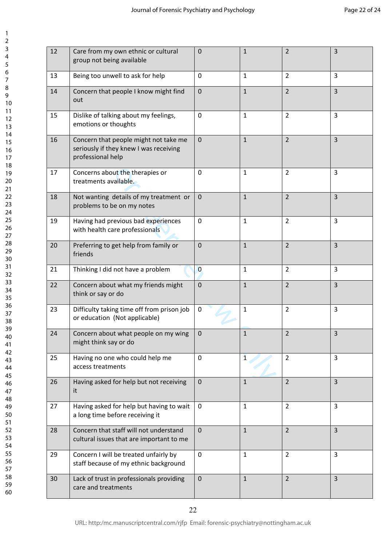$\mathbf{1}$  $\overline{2}$  $\overline{3}$  $\overline{4}$  $\overline{7}$ 

| 12<br>$\overline{2}$<br>3<br>Care from my own ethnic or cultural<br>$\mathbf 0$<br>$1\,$<br>group not being available<br>$\overline{3}$<br>Being too unwell to ask for help<br>$\overline{2}$<br>13<br>$\mathbf 0$<br>$\mathbf{1}$<br>$\overline{2}$<br>$\overline{3}$<br>$\mathbf 0$<br>$\mathbf{1}$<br>Concern that people I know might find<br>14<br>out<br>Dislike of talking about my feelings,<br>$\mathbf 0$<br>$\mathbf{1}$<br>$\overline{2}$<br>3<br>15<br>emotions or thoughts<br>$\mathbf{1}$<br>$\overline{2}$<br>$\overline{3}$<br>Concern that people might not take me<br>$\mathbf 0$<br>16<br>seriously if they knew I was receiving<br>professional help<br>3<br>$1\,$<br>$\overline{2}$<br>17<br>Concerns about the therapies or<br>$\mathbf 0$<br>treatments available.<br>$\overline{3}$<br>$\overline{2}$<br>Not wanting details of my treatment or<br>$\mathbf 0$<br>$1\,$<br>18<br>problems to be on my notes<br>Having had previous bad experiences<br>$\overline{2}$<br>3<br>$\mathbf 0$<br>$\mathbf{1}$<br>19<br>with health care professionals<br>$\overline{2}$<br>$\overline{3}$<br>Preferring to get help from family or<br>$\mathbf{1}$<br>20<br>$\mathbf 0$<br>friends<br>$\mathbf{1}$<br>$\overline{2}$<br>3<br>21<br>Thinking I did not have a problem<br>$\mathbf{0}$<br>$\overline{3}$<br>22<br>Concern about what my friends might<br>$\mathbf 0$<br>$\mathbf{1}$<br>$\overline{2}$<br>think or say or do<br>Difficulty taking time off from prison job<br>$\overline{2}$<br>3<br>23<br>$\mathbf 0$<br>$\mathbf{1}$<br>or education (Not applicable)<br>$\overline{2}$<br>24<br>$\mathbf{1}$<br>$\overline{3}$<br>Concern about what people on my wing<br>$\Omega$<br>might think say or do<br>25<br>$\overline{3}$<br>Having no one who could help me<br>$\mathbf 0$<br>$\overline{2}$<br>$\mathbf{1}$<br>access treatments<br>$\overline{2}$<br>$\overline{3}$<br>Having asked for help but not receiving<br>$\mathbf 0$<br>26<br>$\mathbf{1}$<br>it<br>$\overline{3}$<br>Having asked for help but having to wait<br>$\mathbf 0$<br>$\overline{2}$<br>27<br>$\mathbf{1}$<br>a long time before receiving it<br>Concern that staff will not understand<br>$\mathbf 0$<br>$\mathbf{1}$<br>$\overline{2}$<br>$\overline{3}$<br>28<br>cultural issues that are important to me<br>Concern I will be treated unfairly by<br>$\mathbf 0$<br>29<br>$\mathbf{1}$<br>$\overline{2}$<br>3<br>staff because of my ethnic background<br>$\overline{2}$<br>$\overline{3}$<br>Lack of trust in professionals providing<br>$\mathbf 0$<br>$1\,$<br>30<br>care and treatments |  |  |  |
|-------------------------------------------------------------------------------------------------------------------------------------------------------------------------------------------------------------------------------------------------------------------------------------------------------------------------------------------------------------------------------------------------------------------------------------------------------------------------------------------------------------------------------------------------------------------------------------------------------------------------------------------------------------------------------------------------------------------------------------------------------------------------------------------------------------------------------------------------------------------------------------------------------------------------------------------------------------------------------------------------------------------------------------------------------------------------------------------------------------------------------------------------------------------------------------------------------------------------------------------------------------------------------------------------------------------------------------------------------------------------------------------------------------------------------------------------------------------------------------------------------------------------------------------------------------------------------------------------------------------------------------------------------------------------------------------------------------------------------------------------------------------------------------------------------------------------------------------------------------------------------------------------------------------------------------------------------------------------------------------------------------------------------------------------------------------------------------------------------------------------------------------------------------------------------------------------------------------------------------------------------------------------------------------------------------------------------------------------------------------------------------------------------------------------------------------------------------------------------------------------------------------------------------------------------------------------------------------------------|--|--|--|
|                                                                                                                                                                                                                                                                                                                                                                                                                                                                                                                                                                                                                                                                                                                                                                                                                                                                                                                                                                                                                                                                                                                                                                                                                                                                                                                                                                                                                                                                                                                                                                                                                                                                                                                                                                                                                                                                                                                                                                                                                                                                                                                                                                                                                                                                                                                                                                                                                                                                                                                                                                                                       |  |  |  |
|                                                                                                                                                                                                                                                                                                                                                                                                                                                                                                                                                                                                                                                                                                                                                                                                                                                                                                                                                                                                                                                                                                                                                                                                                                                                                                                                                                                                                                                                                                                                                                                                                                                                                                                                                                                                                                                                                                                                                                                                                                                                                                                                                                                                                                                                                                                                                                                                                                                                                                                                                                                                       |  |  |  |
|                                                                                                                                                                                                                                                                                                                                                                                                                                                                                                                                                                                                                                                                                                                                                                                                                                                                                                                                                                                                                                                                                                                                                                                                                                                                                                                                                                                                                                                                                                                                                                                                                                                                                                                                                                                                                                                                                                                                                                                                                                                                                                                                                                                                                                                                                                                                                                                                                                                                                                                                                                                                       |  |  |  |
|                                                                                                                                                                                                                                                                                                                                                                                                                                                                                                                                                                                                                                                                                                                                                                                                                                                                                                                                                                                                                                                                                                                                                                                                                                                                                                                                                                                                                                                                                                                                                                                                                                                                                                                                                                                                                                                                                                                                                                                                                                                                                                                                                                                                                                                                                                                                                                                                                                                                                                                                                                                                       |  |  |  |
|                                                                                                                                                                                                                                                                                                                                                                                                                                                                                                                                                                                                                                                                                                                                                                                                                                                                                                                                                                                                                                                                                                                                                                                                                                                                                                                                                                                                                                                                                                                                                                                                                                                                                                                                                                                                                                                                                                                                                                                                                                                                                                                                                                                                                                                                                                                                                                                                                                                                                                                                                                                                       |  |  |  |
|                                                                                                                                                                                                                                                                                                                                                                                                                                                                                                                                                                                                                                                                                                                                                                                                                                                                                                                                                                                                                                                                                                                                                                                                                                                                                                                                                                                                                                                                                                                                                                                                                                                                                                                                                                                                                                                                                                                                                                                                                                                                                                                                                                                                                                                                                                                                                                                                                                                                                                                                                                                                       |  |  |  |
|                                                                                                                                                                                                                                                                                                                                                                                                                                                                                                                                                                                                                                                                                                                                                                                                                                                                                                                                                                                                                                                                                                                                                                                                                                                                                                                                                                                                                                                                                                                                                                                                                                                                                                                                                                                                                                                                                                                                                                                                                                                                                                                                                                                                                                                                                                                                                                                                                                                                                                                                                                                                       |  |  |  |
|                                                                                                                                                                                                                                                                                                                                                                                                                                                                                                                                                                                                                                                                                                                                                                                                                                                                                                                                                                                                                                                                                                                                                                                                                                                                                                                                                                                                                                                                                                                                                                                                                                                                                                                                                                                                                                                                                                                                                                                                                                                                                                                                                                                                                                                                                                                                                                                                                                                                                                                                                                                                       |  |  |  |
|                                                                                                                                                                                                                                                                                                                                                                                                                                                                                                                                                                                                                                                                                                                                                                                                                                                                                                                                                                                                                                                                                                                                                                                                                                                                                                                                                                                                                                                                                                                                                                                                                                                                                                                                                                                                                                                                                                                                                                                                                                                                                                                                                                                                                                                                                                                                                                                                                                                                                                                                                                                                       |  |  |  |
|                                                                                                                                                                                                                                                                                                                                                                                                                                                                                                                                                                                                                                                                                                                                                                                                                                                                                                                                                                                                                                                                                                                                                                                                                                                                                                                                                                                                                                                                                                                                                                                                                                                                                                                                                                                                                                                                                                                                                                                                                                                                                                                                                                                                                                                                                                                                                                                                                                                                                                                                                                                                       |  |  |  |
|                                                                                                                                                                                                                                                                                                                                                                                                                                                                                                                                                                                                                                                                                                                                                                                                                                                                                                                                                                                                                                                                                                                                                                                                                                                                                                                                                                                                                                                                                                                                                                                                                                                                                                                                                                                                                                                                                                                                                                                                                                                                                                                                                                                                                                                                                                                                                                                                                                                                                                                                                                                                       |  |  |  |
|                                                                                                                                                                                                                                                                                                                                                                                                                                                                                                                                                                                                                                                                                                                                                                                                                                                                                                                                                                                                                                                                                                                                                                                                                                                                                                                                                                                                                                                                                                                                                                                                                                                                                                                                                                                                                                                                                                                                                                                                                                                                                                                                                                                                                                                                                                                                                                                                                                                                                                                                                                                                       |  |  |  |
|                                                                                                                                                                                                                                                                                                                                                                                                                                                                                                                                                                                                                                                                                                                                                                                                                                                                                                                                                                                                                                                                                                                                                                                                                                                                                                                                                                                                                                                                                                                                                                                                                                                                                                                                                                                                                                                                                                                                                                                                                                                                                                                                                                                                                                                                                                                                                                                                                                                                                                                                                                                                       |  |  |  |
|                                                                                                                                                                                                                                                                                                                                                                                                                                                                                                                                                                                                                                                                                                                                                                                                                                                                                                                                                                                                                                                                                                                                                                                                                                                                                                                                                                                                                                                                                                                                                                                                                                                                                                                                                                                                                                                                                                                                                                                                                                                                                                                                                                                                                                                                                                                                                                                                                                                                                                                                                                                                       |  |  |  |
|                                                                                                                                                                                                                                                                                                                                                                                                                                                                                                                                                                                                                                                                                                                                                                                                                                                                                                                                                                                                                                                                                                                                                                                                                                                                                                                                                                                                                                                                                                                                                                                                                                                                                                                                                                                                                                                                                                                                                                                                                                                                                                                                                                                                                                                                                                                                                                                                                                                                                                                                                                                                       |  |  |  |
|                                                                                                                                                                                                                                                                                                                                                                                                                                                                                                                                                                                                                                                                                                                                                                                                                                                                                                                                                                                                                                                                                                                                                                                                                                                                                                                                                                                                                                                                                                                                                                                                                                                                                                                                                                                                                                                                                                                                                                                                                                                                                                                                                                                                                                                                                                                                                                                                                                                                                                                                                                                                       |  |  |  |
|                                                                                                                                                                                                                                                                                                                                                                                                                                                                                                                                                                                                                                                                                                                                                                                                                                                                                                                                                                                                                                                                                                                                                                                                                                                                                                                                                                                                                                                                                                                                                                                                                                                                                                                                                                                                                                                                                                                                                                                                                                                                                                                                                                                                                                                                                                                                                                                                                                                                                                                                                                                                       |  |  |  |
|                                                                                                                                                                                                                                                                                                                                                                                                                                                                                                                                                                                                                                                                                                                                                                                                                                                                                                                                                                                                                                                                                                                                                                                                                                                                                                                                                                                                                                                                                                                                                                                                                                                                                                                                                                                                                                                                                                                                                                                                                                                                                                                                                                                                                                                                                                                                                                                                                                                                                                                                                                                                       |  |  |  |
|                                                                                                                                                                                                                                                                                                                                                                                                                                                                                                                                                                                                                                                                                                                                                                                                                                                                                                                                                                                                                                                                                                                                                                                                                                                                                                                                                                                                                                                                                                                                                                                                                                                                                                                                                                                                                                                                                                                                                                                                                                                                                                                                                                                                                                                                                                                                                                                                                                                                                                                                                                                                       |  |  |  |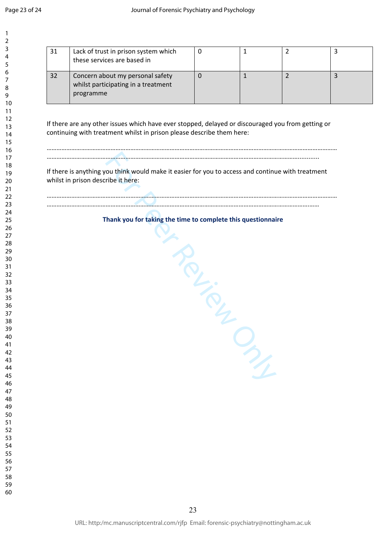| 1                                      |  |
|----------------------------------------|--|
| 2                                      |  |
| 3                                      |  |
| 4                                      |  |
| 5                                      |  |
| 6                                      |  |
|                                        |  |
| 8                                      |  |
| 9                                      |  |
| 10                                     |  |
| 11                                     |  |
|                                        |  |
|                                        |  |
| 12<br>13<br>14<br>15<br>16<br>17<br>18 |  |
|                                        |  |
|                                        |  |
|                                        |  |
|                                        |  |
| 19<br>20                               |  |
| $\overline{21}$                        |  |
| 22                                     |  |
| 23                                     |  |
| -<br>24                                |  |
| 25                                     |  |
| 26                                     |  |
| $^{27}$                                |  |
| 28                                     |  |
| 29                                     |  |
| 30                                     |  |
| 31                                     |  |
| 32                                     |  |
| 33                                     |  |
| 34                                     |  |
| 35                                     |  |
| 36                                     |  |
| 37                                     |  |
| ξŔ                                     |  |
| 39                                     |  |
| 40                                     |  |
| 41                                     |  |
| 42                                     |  |
| 43                                     |  |
| 44                                     |  |
| 45                                     |  |
| 46                                     |  |
| 47                                     |  |
| 48                                     |  |
| 49<br>50                               |  |
| 51                                     |  |
| 5.<br>$\overline{c}$                   |  |
| 53                                     |  |
| 54                                     |  |
| 55                                     |  |
| 56                                     |  |
| 57                                     |  |
| 58                                     |  |
| 59<br>J                                |  |
|                                        |  |

| 31 | Lack of trust in prison system which<br>these services are based in                  |  |  |
|----|--------------------------------------------------------------------------------------|--|--|
| 32 | Concern about my personal safety<br>whilst participating in a treatment<br>programme |  |  |

If there are any other issues which have ever stopped, delayed or discouraged you from getting or continuing with treatment whilst in prison please describe them here:

……………………………………………………………………………………………………………………………………………………………

………………………………………………………………………………………………………………………………………............

If there is anything you think would make it easier for you to access and continue with treatment whilst in prison describe it here:

## …………………………………………………………………………………………………………………………………………….……

……………………………………………………………………………………………………………………………………………………………

**Thank you for taking the time to complete this questionnaire** 

Frontien Crew